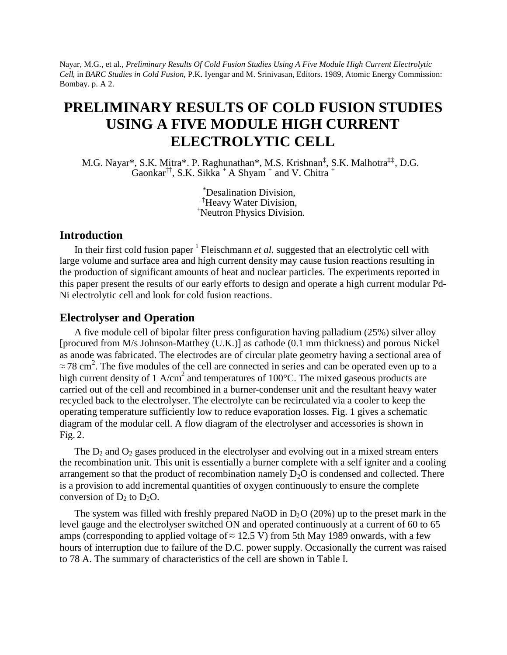Nayar, M.G., et al., *Preliminary Results Of Cold Fusion Studies Using A Five Module High Current Electrolytic Cell*, in *BARC Studies in Cold Fusion*, P.K. Iyengar and M. Srinivasan, Editors. 1989, Atomic Energy Commission: Bombay. p. A 2.

# **PRELIMINARY RESULTS OF COLD FUSION STUDIES USING A FIVE MODULE HIGH CURRENT ELECTROLYTIC CELL**

M.G. Nayar\*, S.K. Mitra\*. P. Raghunathan\*, M.S. Krishnan‡ , S.K. Malhotra‡‡, D.G.  $\hat{G}$ aonkar<sup>‡‡</sup>, S.K. Sikka + A Shyam + and V. Chitra +

> \*Desalination Division, ‡Heavy Water Division, <sup>+</sup>Neutron Physics Division.

#### **Introduction**

In their first cold fusion paper <sup>1</sup> Fleischmann *et al*. suggested that an electrolytic cell with large volume and surface area and high current density may cause fusion reactions resulting in the production of significant amounts of heat and nuclear particles. The experiments reported in this paper present the results of our early efforts to design and operate a high current modular Pd-Ni electrolytic cell and look for cold fusion reactions.

## **Electrolyser and Operation**

A five module cell of bipolar filter press configuration having palladium (25%) silver alloy [procured from M/s Johnson-Matthey (U.K.)] as cathode (0.1 mm thickness) and porous Nickel as anode was fabricated. The electrodes are of circular plate geometry having a sectional area of  $\approx$  78 cm<sup>2</sup>. The five modules of the cell are connected in series and can be operated even up to a high current density of 1 A/cm<sup>2</sup> and temperatures of 100 $^{\circ}$ C. The mixed gaseous products are carried out of the cell and recombined in a burner-condenser unit and the resultant heavy water recycled back to the electrolyser. The electrolyte can be recirculated via a cooler to keep the operating temperature sufficiently low to reduce evaporation losses. Fig. 1 gives a schematic diagram of the modular cell. A flow diagram of the electrolyser and accessories is shown in Fig. 2.

The  $D_2$  and  $O_2$  gases produced in the electrolyser and evolving out in a mixed stream enters the recombination unit. This unit is essentially a burner complete with a self igniter and a cooling arrangement so that the product of recombination namely  $D<sub>2</sub>O$  is condensed and collected. There is a provision to add incremental quantities of oxygen continuously to ensure the complete conversion of  $D_2$  to  $D_2O$ .

The system was filled with freshly prepared NaOD in  $D_2O(20%)$  up to the preset mark in the level gauge and the electrolyser switched ON and operated continuously at a current of 60 to 65 amps (corresponding to applied voltage of  $\approx$  12.5 V) from 5th May 1989 onwards, with a few hours of interruption due to failure of the D.C. power supply. Occasionally the current was raised to 78 A. The summary of characteristics of the cell are shown in Table I.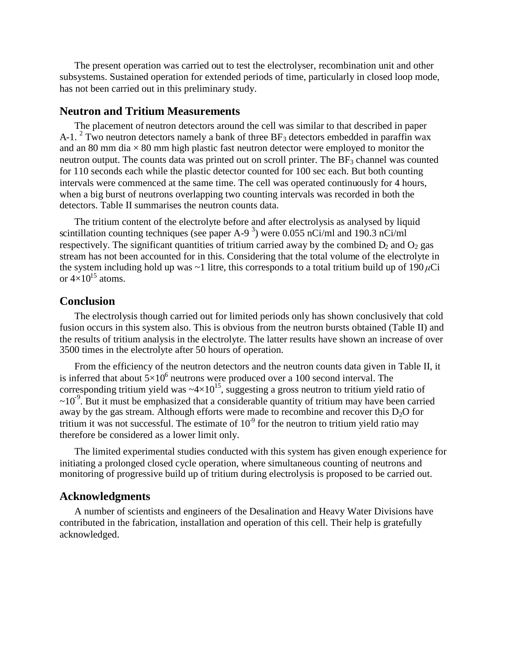The present operation was carried out to test the electrolyser, recombination unit and other subsystems. Sustained operation for extended periods of time, particularly in closed loop mode, has not been carried out in this preliminary study.

## **Neutron and Tritium Measurements**

The placement of neutron detectors around the cell was similar to that described in paper A-1. <sup>2</sup> Two neutron detectors namely a bank of three BF<sub>3</sub> detectors embedded in paraffin wax and an 80 mm dia  $\times$  80 mm high plastic fast neutron detector were employed to monitor the neutron output. The counts data was printed out on scroll printer. The  $BF_3$  channel was counted for 110 seconds each while the plastic detector counted for 100 sec each. But both counting intervals were commenced at the same time. The cell was operated continuously for 4 hours, when a big burst of neutrons overlapping two counting intervals was recorded in both the detectors. Table II summarises the neutron counts data.

The tritium content of the electrolyte before and after electrolysis as analysed by liquid scintillation counting techniques (see paper A-9<sup>3</sup>) were 0.055 nCi/ml and 190.3 nCi/ml respectively. The significant quantities of tritium carried away by the combined  $D_2$  and  $O_2$  gas stream has not been accounted for in this. Considering that the total volume of the electrolyte in the system including hold up was  $\sim$ 1 litre, this corresponds to a total tritium build up of 190  $\mu$ Ci or  $4\times10^{15}$  atoms.

## **Conclusion**

The electrolysis though carried out for limited periods only has shown conclusively that cold fusion occurs in this system also. This is obvious from the neutron bursts obtained (Table II) and the results of tritium analysis in the electrolyte. The latter results have shown an increase of over 3500 times in the electrolyte after 50 hours of operation.

From the efficiency of the neutron detectors and the neutron counts data given in Table II, it is inferred that about  $5\times10^6$  neutrons were produced over a 100 second interval. The corresponding tritium yield was  $\sim 4 \times 10^{15}$ , suggesting a gross neutron to tritium yield ratio of  $\sim 10^{-9}$ . But it must be emphasized that a considerable quantity of tritium may have been carried away by the gas stream. Although efforts were made to recombine and recover this  $D_2O$  for tritium it was not successful. The estimate of  $10<sup>9</sup>$  for the neutron to tritium yield ratio may therefore be considered as a lower limit only.

The limited experimental studies conducted with this system has given enough experience for initiating a prolonged closed cycle operation, where simultaneous counting of neutrons and monitoring of progressive build up of tritium during electrolysis is proposed to be carried out.

#### **Acknowledgments**

A number of scientists and engineers of the Desalination and Heavy Water Divisions have contributed in the fabrication, installation and operation of this cell. Their help is gratefully acknowledged.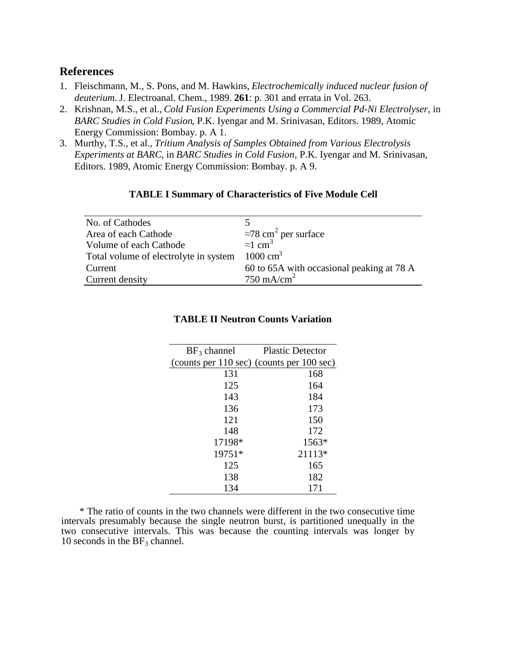## **References**

- 1. Fleischmann, M., S. Pons, and M. Hawkins, *Electrochemically induced nuclear fusion of deuterium.* J. Electroanal. Chem., 1989. **261**: p. 301 and errata in Vol. 263.
- 2. Krishnan, M.S., et al., *Cold Fusion Experiments Using a Commercial Pd-Ni Electrolyser*, in *BARC Studies in Cold Fusion*, P.K. Iyengar and M. Srinivasan, Editors. 1989, Atomic Energy Commission: Bombay. p. A 1.
- 3. Murthy, T.S., et al., *Tritium Analysis of Samples Obtained from Various Electrolysis Experiments at BARC*, in *BARC Studies in Cold Fusion*, P.K. Iyengar and M. Srinivasan, Editors. 1989, Atomic Energy Commission: Bombay. p. A 9.

#### **TABLE I Summary of Characteristics of Five Module Cell**

| No. of Cathodes                       |                                           |
|---------------------------------------|-------------------------------------------|
| Area of each Cathode                  | $\approx$ 78 cm <sup>2</sup> per surface  |
| Volume of each Cathode                | $\approx$ 1 cm <sup>3</sup>               |
| Total volume of electrolyte in system | $1000 \text{ cm}^3$                       |
| Current                               | 60 to 65A with occasional peaking at 78 A |
| Current density                       | $750 \text{ mA/cm}^2$                     |

#### **TABLE II Neutron Counts Variation**

| $BF_3$ channel                            | <b>Plastic Detector</b> |
|-------------------------------------------|-------------------------|
| (counts per 110 sec) (counts per 100 sec) |                         |
| 131                                       | 168                     |
| 125                                       | 164                     |
| 143                                       | 184                     |
| 136                                       | 173                     |
| 121                                       | 150                     |
| 148                                       | 172                     |
| 17198*                                    | $1563*$                 |
| 19751*                                    | 21113*                  |
| 125                                       | 165                     |
| 138                                       | 182                     |
| 134                                       | 171                     |

\* The ratio of counts in the two channels were different in the two consecutive time intervals presumably because the single neutron burst, is partitioned unequally in the two consecutive intervals. This was because the counting intervals was longer by 10 seconds in the  $BF_3$  channel.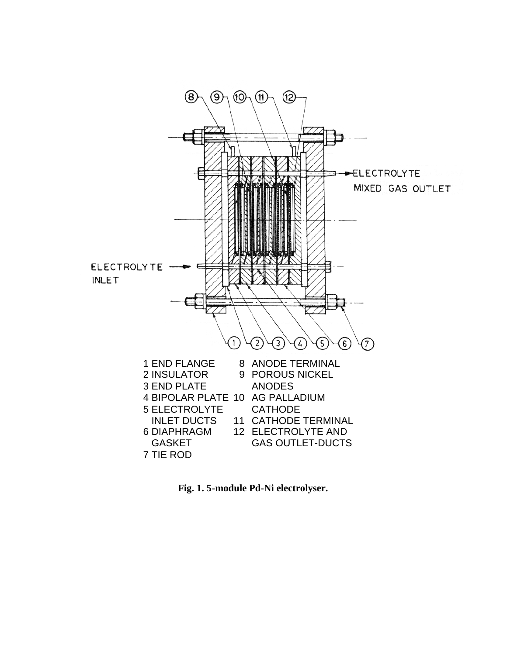

**Fig. 1. 5-module Pd-Ni electrolyser.**